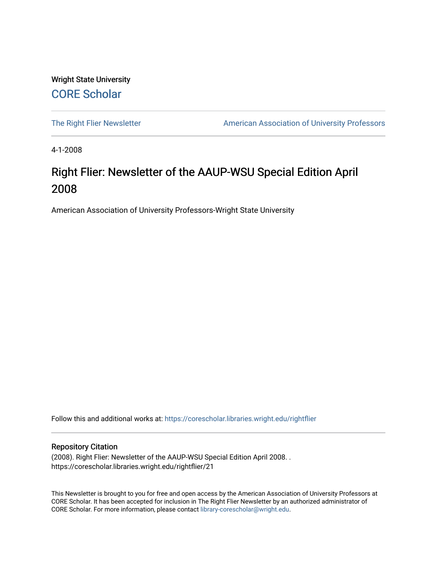Wright State University [CORE Scholar](https://corescholar.libraries.wright.edu/)

[The Right Flier Newsletter](https://corescholar.libraries.wright.edu/rightflier) **American Association of University Professors** 

4-1-2008

### Right Flier: Newsletter of the AAUP-WSU Special Edition April 2008

American Association of University Professors-Wright State University

Follow this and additional works at: [https://corescholar.libraries.wright.edu/rightflier](https://corescholar.libraries.wright.edu/rightflier?utm_source=corescholar.libraries.wright.edu%2Frightflier%2F21&utm_medium=PDF&utm_campaign=PDFCoverPages) 

#### Repository Citation

(2008). Right Flier: Newsletter of the AAUP-WSU Special Edition April 2008. . https://corescholar.libraries.wright.edu/rightflier/21

This Newsletter is brought to you for free and open access by the American Association of University Professors at CORE Scholar. It has been accepted for inclusion in The Right Flier Newsletter by an authorized administrator of CORE Scholar. For more information, please contact [library-corescholar@wright.edu](mailto:library-corescholar@wright.edu).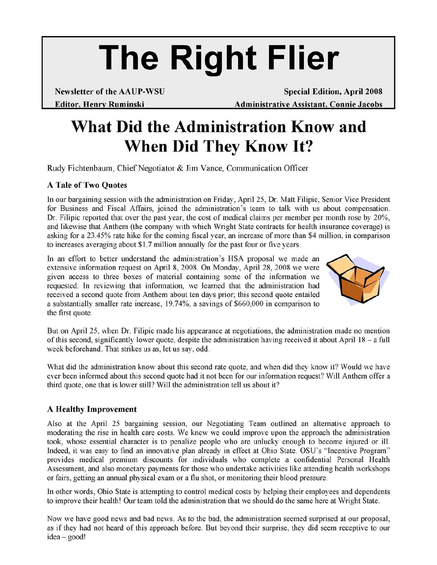# **The Right Flier**

**Newsletter of the AAUP-WSU Special Edition, April 2008 Editor, Henry Ruminski Mateural Administrative Assistant, Connie Jacobs** 

## **What Did the Administration Know and When Did They Know It?**

Rudy Fichtenbaum, Chief Negotiator & Jim Vance, Communication Officer

#### A **Tale of Two Quotes**

In our bargaining session with the administration on Friday, April 25, Dr. Matt Filipic, Senior Vice President for Business and Fiscal Affairs, joined the administration's team to talk with us about compensation. Dr. Filipic reported that over the past year, the cost of medical claims per member per month rose by 20%, and likewise that Anthem (the company with which Wright State contracts for health insurance coverage) is asking for a 23.45% rate hike for the coming fiscal year, an increase of more than \$4 million, in comparison to increases averaging about \$1.7 million annually for the past four or five years.

In an effort to better understand the administration's HSA proposal we made an extensive information request on April 8,2008. On Monday, April 28, 2008 we were given access to three boxes of material containing some of the information we requested. In reviewing that information, we learned that the administration had received a second quote from Anthem about ten days prior; this second quote entailed a substantially smaller rate increase, 19.74%, a savings of \$660,000 in comparison to the first quote.



But on April 25, when Dr. Filipic made his appearance at negotiations, the administration made no mention of this second, significantly lower quote, despite the administration having received it about April 18 - a full week beforehand. That strikes us as, let us say, odd.

What did the administration know about this second rate quote, and when did they know it? Would we have ever been informed about this second quote had it not been for our information request? Will Anthem offer a third quote, one that is lower still? Will the administration tell us about it?

#### A **Healthy Improvement**

Also at the April 25 bargaining session, our Negotiating Team outlined an alternative approach to moderating the rise in health care costs. We knew we could improve upon the approach the administration took, whose essential character is to penalize people who are unlucky enough to become injured or ill. Indeed, it was easy to find an innovative plan already in effect at Ohio State. OSU's "Incentive Program" provides medical premium discounts for individuals who complete a confidential Personal Health Assessment, and also monetary payments for those who undertake activities like attending health workshops or fairs, getting an annual physical exam or a flu shot, or monitoring their blood pressure.

In other words, Ohio State is attempting to control medical costs by helping their employees and dependents to improve their health! Our team told the administration that we should do the same here at Wright State.

Now we have good news and bad news. As to the bad, the administration seemed surprised at our proposal, as if they had not heard of this approach before. But beyond their surprise, they did seem receptive to our idea- good!